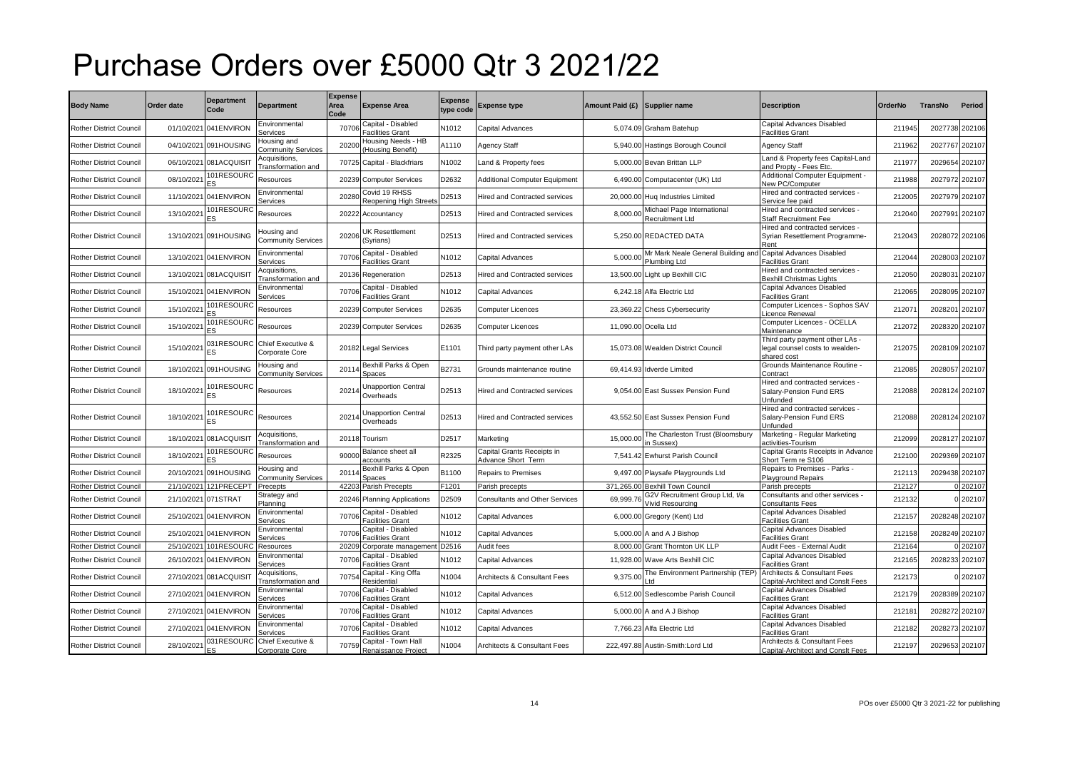## Purchase Orders over £5000 Qtr 3 2021/22

| <b>Body Name</b>               | Order date          | <b>Department</b><br>Code | <b>Department</b>                        | <b>Expense</b><br>Area<br>Code | <b>Expense Area</b>                        | Expense<br>ype code | <b>Expense type</b>                             | Amount Paid (£) Supplier name |                                                    | <b>Description</b>                                                                | <b>OrderNo</b> | TransNo        | Period         |
|--------------------------------|---------------------|---------------------------|------------------------------------------|--------------------------------|--------------------------------------------|---------------------|-------------------------------------------------|-------------------------------|----------------------------------------------------|-----------------------------------------------------------------------------------|----------------|----------------|----------------|
| Rother District Council        | 01/10/2021          | 041ENVIRON                | Environmental<br>Services                | 70706                          | apital - Disabled<br>acilities Grant       | N1012               | Capital Advances                                |                               | 5,074.09 Graham Batehup                            | Capital Advances Disabled<br>Facilities Grant                                     | 211945         | 2027738 202106 |                |
| Rother District Council        | 04/10/2021          | 091HOUSING                | lousing and<br>Community Services        | 20200                          | Housing Needs - HB<br>Housing Benefit)     | A1110               | Agency Staff                                    |                               | 5,940.00 Hastings Borough Council                  | <b>Agency Staff</b>                                                               | 211962         | 2027767        | 202107         |
| Rother District Council        | 06/10/2021          | 081ACQUISIT               | Acquisitions,<br>Transformation and      | 70725                          | Capital - Blackfriars                      | N1002               | Land & Property fees                            |                               | 5.000.00 Bevan Brittan LLP                         | Land & Property fees Capital-Land<br>and Propty - Fees Etc.                       | 211977         | 2029654        | 202107         |
| <b>Rother District Council</b> | 08/10/202           | 101RESOURC                | Resources                                | 20239                          | <b>Computer Services</b>                   | D2632               | <b>Additional Computer Equipment</b>            |                               | 6,490.00 Computacenter (UK) Ltd                    | Additional Computer Equipment -<br>New PC/Computer                                | 211988         | 2027972 202107 |                |
| Rother District Council        |                     | 11/10/2021 041ENVIRON     | Environmental<br>Services                | 20280                          | Covid 19 RHSS<br>Reopening High Street:    | D2513               | Hired and Contracted services                   |                               | 20,000.00 Hug Industries Limited                   | Hired and contracted services -<br>Service fee paid                               | 212005         | 2027979 202107 |                |
| Rother District Council        | 13/10/202           | 01RESOURC                 | Resources                                | 20222                          | Accountancy                                | D2513               | Hired and Contracted services                   | 8.000.0                       | Michael Page International<br>Recruitment Ltd      | Hired and contracted services -<br><b>Staff Recruitment Fee</b>                   | 212040         | 2027991        | 202107         |
| Rother District Council        |                     | 13/10/2021 091HOUSING     | lousing and<br><b>Community Services</b> | 20206                          | JK Resettlement<br>(Syrians)               | D2513               | Hired and Contracted services                   |                               | 5.250.00 REDACTED DATA                             | Hired and contracted services<br>Syrian Resettlement Programme-<br>Rent           | 212043         | 2028072 202106 |                |
| Rother District Council        |                     | 13/10/2021 041ENVIRON     | Environmental<br>Services                | 70706                          | Capital - Disabled<br>Facilities Grant     | N1012               | Capital Advances                                | 5,000.0                       | Mr Mark Neale General Building and<br>Plumbing Ltd | Capital Advances Disabled<br><b>Facilities Grant</b>                              | 212044         | 2028003 202107 |                |
| Rother District Council        | 13/10/2021          | 081ACQUISIT               | Acquisitions,<br>Transformation and      | 20136                          | Regeneration                               | D2513               | Hired and Contracted services                   |                               | 13,500.00 Light up Bexhill CIC                     | Hired and contracted services<br>Bexhill Christmas Lights                         | 212050         | 2028031        | 202107         |
| Rother District Council        | 15/10/2021          | 041ENVIRON                | Environmental<br>Services                | 70706                          | Capital - Disabled<br>Facilities Grant     | N1012               | Capital Advances                                |                               | 6,242.18 Alfa Electric Ltd                         | Capital Advances Disabled<br>Facilities Grant                                     | 212065         | 2028095 202107 |                |
| Rother District Council        | 15/10/202           | 01RESOURC                 | Resources                                | 20239                          | Computer Services                          | D2635               | <b>Computer Licences</b>                        |                               | 23,369.22 Chess Cybersecurity                      | Computer Licences - Sophos SAV<br>icence Renewal                                  | 21207          | 2028201 202107 |                |
| Rother District Council        | 15/10/202           | 101RESOURC                | Resources                                | 20239                          | Computer Services                          | D2635               | <b>Computer Licences</b>                        |                               | 11,090.00 Ocella Ltd                               | Computer Licences - OCELLA<br>Maintenance                                         | 212072         | 2028320 202107 |                |
| Rother District Council        | 15/10/202           | 031RESOURC<br>ΞS          | Chief Executive &<br>Corporate Core      | 20182                          | <b>Legal Services</b>                      | E1101               | Third party payment other LAs                   |                               | 15,073.08 Wealden District Council                 | Third party payment other LAs -<br>legal counsel costs to wealden-<br>shared cost | 212075         |                | 2028109 202107 |
| Rother District Council        |                     | 18/10/2021 091HOUSING     | Housing and<br><b>Community Services</b> | 2011                           | Bexhill Parks & Open<br>Spaces             | B2731               | Grounds maintenance routine                     |                               | 69,414.93 Idverde Limited                          | Grounds Maintenance Routine -<br>Contract                                         | 212085         | 2028057 202107 |                |
| <b>Rother District Council</b> | 18/10/2021          | 01RESOURC<br>ES           | Resources                                | 20214                          | Unapportion Central<br>Overheads           | D2513               | <b>Hired and Contracted services</b>            |                               | 9,054.00 East Sussex Pension Fund                  | Hired and contracted services ·<br>Salary-Pension Fund ERS<br>Unfunded            | 212088         |                | 2028124 202107 |
| Rother District Council        | 18/10/2021          | 01RESOURC<br>ES           | Resources                                | 20214                          | <b>Jnapportion Central</b><br>Overheads    | D2513               | <b>Hired and Contracted services</b>            |                               | 43.552.50 East Sussex Pension Fund                 | Hired and contracted services -<br>Salary-Pension Fund ERS<br><b>Jnfunded</b>     | 212088         | 2028124 202107 |                |
| Rother District Council        |                     | 18/10/2021 081ACQUISIT    | Acquisitions,<br>Transformation and      | 20118                          | Tourism                                    | D2517               | Marketing                                       | 15,000.0                      | The Charleston Trust (Bloomsbury<br>in Sussex)     | Marketing - Regular Marketing<br>activities-Tourism                               | 212099         | 2028127 202107 |                |
| Rother District Council        | 18/10/202           | 01RESOURC                 | Resources                                | 90000                          | Balance sheet all<br>ccounts               | R2325               | Capital Grants Receipts in<br>dvance Short Term | 7,541.42                      | <b>Ewhurst Parish Council</b>                      | Capital Grants Receipts in Advance<br>Short Term re S106                          | 212100         | 2029369 202107 |                |
| Rother District Council        | 20/10/2021          | 091HOUSING                | Housing and<br><b>Community Services</b> | 2011                           | Bexhill Parks & Open<br>Snaces             | B1100               | <b>Repairs to Premises</b>                      |                               | 9,497.00 Playsafe Playgrounds Ltd                  | Repairs to Premises - Parks -<br><b>Plavaround Repairs</b>                        | 212113         | 2029438 202107 |                |
| Rother District Council        | 21/10/2021          | 121PRECEPT                | Precepts                                 | 4220                           | Parish Precepts                            | $-1201$             | Parish precepts                                 | 371,265.00                    | <b>Bexhill Town Council</b>                        | Parish precepts                                                                   | 212127         |                | 0 202107       |
| Rother District Council        | 21/10/2021 071STRAT |                           | Strategy and<br>Planning                 | 20246                          | <b>Planning Applications</b>               | D2509               | <b>Consultants and Other Services</b>           | 69,999.76                     | G2V Recruitment Group Ltd, t/a<br>Vivid Resourcing | Consultants and other services -<br><b>Consultants Fees</b>                       | 212132         |                | 0 202107       |
| Rother District Council        | 25/10/2021          | 041ENVIRON                | Environmental<br>Services                | 70706                          | Capital - Disabled<br>Facilities Grant     | N1012               | Capital Advances                                |                               | 6,000.00 Gregory (Kent) Ltd                        | Capital Advances Disabled<br><b>Facilities Grant</b>                              | 212157         | 2028248 202107 |                |
| Rother District Council        | 25/10/2021          | 041ENVIRON                | Environmental<br>Services                | 70706                          | Capital - Disabled<br>acilities Grant      | N1012               | Capital Advances                                |                               | 5,000,00 A and A J Bishop                          | Capital Advances Disabled<br>Facilities Grant                                     | 212158         | 2028249 202107 |                |
| Rother District Council        |                     | 25/10/2021 101RESOURO     | Resources                                | 20209                          | Corporate managemen                        | D2516               | Audit fees                                      |                               | 8,000.00 Grant Thornton UK LLP                     | Audit Fees - External Audit                                                       | 212164         |                | 0 202107       |
| Rother District Council        |                     | 26/10/2021 041ENVIRON     | Environmental<br>Services                | 70706                          | Capital - Disabled<br>Facilities Grant     | N1012               | Capital Advances                                |                               | 11,928.00 Wave Arts Bexhill CIC                    | Capital Advances Disabled<br><b>Facilities Grant</b>                              | 212165         | 2028233 202107 |                |
| Rother District Council        |                     | 27/10/2021 081ACQUISIT    | Acquisitions,<br>Transformation and      | 70754                          | Capital - King Offa<br>Residential         | N1004               | <b>Architects &amp; Consultant Fees</b>         | 9,375.00                      | The Environment Partnership (TEP)                  | Architects & Consultant Fees<br>Capital-Architect and Conslt Fees                 | 212173         |                | 202107         |
| Rother District Council        | 27/10/2021          | 041ENVIRON                | Environmental<br>Services                | 70706                          | Capital - Disabled<br>Facilities Grant     | N1012               | Capital Advances                                |                               | 6,512.00 Sedlescombe Parish Council                | Capital Advances Disabled<br><b>Facilities Grant</b>                              | 212179         | 2028389 202107 |                |
| Rother District Council        |                     | 27/10/2021 041ENVIRON     | Environmental<br>Services                | 70706                          | Capital - Disabled<br>acilities Grant      | N1012               | Capital Advances                                |                               | 5,000.00 A and A J Bishop                          | Capital Advances Disabled<br>acilities Grant                                      | 212181         | 2028272 202107 |                |
| Rother District Council        |                     | 27/10/2021 041ENVIRON     | Environmental<br>Services                | 70706                          | Capital - Disabled<br>Facilities Grant     | N1012               | Capital Advances                                |                               | 7,766.23 Alfa Electric Ltd                         | Capital Advances Disabled<br><b>Facilities Grant</b>                              | 212182         | 2028273 202107 |                |
| <b>Rother District Council</b> | 28/10/2021          | 031RESOURC                | Chief Executive &<br>Corporate Core      | 70759                          | Capital - Town Hall<br>Renaissance Project | N1004               | <b>Architects &amp; Consultant Fees</b>         |                               | 222,497.88 Austin-Smith: Lord Ltd                  | Architects & Consultant Fees<br>Capital-Architect and Conslt Fees                 | 212197         | 2029653 202107 |                |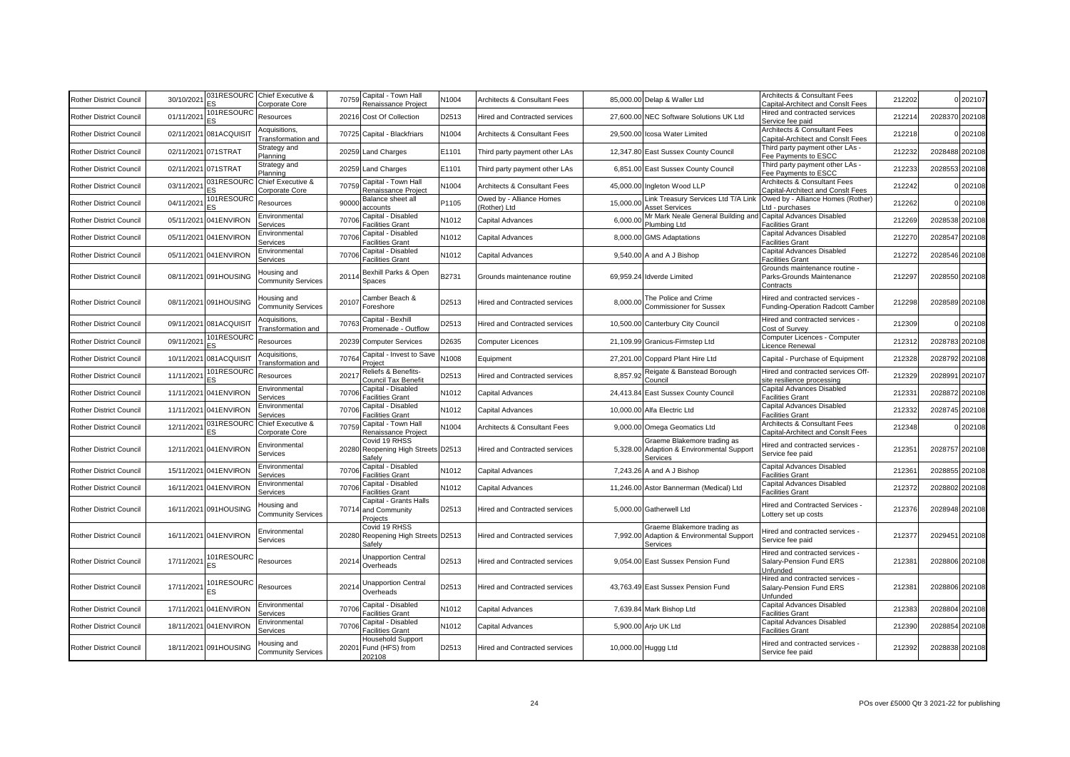| Rother District Council        | 30/10/2021 | 031RESOURC<br>ΞS.          | Chief Executive &<br>Corporate Core      | 70759 | Capital - Town Hall<br>Renaissance Project                    | N1004 | <b>Architects &amp; Consultant Fees</b>  |           | 85,000.00 Delap & Waller Ltd                                                         | Architects & Consultant Fees<br>Capital-Architect and Conslt Fees       | 212202 |                | 202107 |
|--------------------------------|------------|----------------------------|------------------------------------------|-------|---------------------------------------------------------------|-------|------------------------------------------|-----------|--------------------------------------------------------------------------------------|-------------------------------------------------------------------------|--------|----------------|--------|
| Rother District Council        | 01/11/202  | 101RESOURC<br>ES           | Resources                                | 20216 | Cost Of Collection                                            | D2513 | <b>Hired and Contracted services</b>     |           | 27,600.00 NEC Software Solutions UK Ltd                                              | Hired and contracted services<br>Service fee paid                       | 21221  | 2028370        | 202108 |
| Rother District Council        | 02/11/2021 | 081ACQUISI                 | Acquisitions,<br>Fransformation and      |       | 70725 Capital - Blackfriars                                   | N1004 | Architects & Consultant Fees             |           | 29,500.00 Icosa Water Limited                                                        | Architects & Consultant Fees<br>Capital-Architect and Conslt Fees       | 212218 |                | 202108 |
| Rother District Council        | 02/11/2021 | 071STRAT                   | Strategy and<br>Planning                 | 20259 | <b>Land Charges</b>                                           | E1101 | Third party payment other LAs            |           | 12,347.80 East Sussex County Council                                                 | Third party payment other LAs -<br>Fee Pavments to ESCC                 | 212232 | 2028488 202108 |        |
| Rother District Council        |            | 02/11/2021 071STRAT        | Strategy and<br>Planning                 | 20259 | <b>Land Charges</b>                                           | E1101 | Third party payment other LAs            |           | 6,851.00 East Sussex County Council                                                  | Third party payment other LAs -<br>Fee Pavments to ESCC                 | 212233 | 2028553        | 202108 |
| Rother District Council        | 03/11/202  | 031RESOUR<br>ES            | Chief Executive &<br>Corporate Core      | 70759 | Capital - Town Hall<br>Renaissance Project                    | N1004 | <b>Architects &amp; Consultant Fees</b>  |           | 45,000.00 Ingleton Wood LLP                                                          | Architects & Consultant Fees<br>Capital-Architect and Conslt Fees       | 212242 |                | 202108 |
| Rother District Council        | 04/11/2021 | 101RESOURC                 | Resources                                | 90000 | Balance sheet all<br>accounts                                 | P1105 | Owed by - Alliance Homes<br>(Rother) Ltd | 15,000.00 | Link Treasury Services Ltd T/A Link<br><b>Asset Services</b>                         | Owed by - Alliance Homes (Rother)<br>td - purchases                     | 212262 |                | 202108 |
| Rother District Council        | 05/11/2021 | 041ENVIRON                 | Environmental<br>Services                | 70706 | Capital - Disabled<br>Facilities Grant                        | N1012 | Capital Advances                         | 6,000.00  | Mr Mark Neale General Building and<br>Plumbing Ltd                                   | Capital Advances Disabled<br>Facilities Grant                           | 212269 | 2028538        | 202108 |
| Rother District Council        | 05/11/2021 | 041ENVIRON                 | Environmental<br>Services                | 70706 | Capital - Disabled<br>Facilities Grant                        | N1012 | Capital Advances                         |           | 8,000.00 GMS Adaptations                                                             | Capital Advances Disabled<br>Facilities Grant                           | 212270 | 2028547        | 202108 |
| Rother District Council        |            | 05/11/2021 041ENVIRON      | Environmental<br>Services                | 70706 | Capital - Disabled<br><b>Facilities Grant</b>                 | N1012 | Capital Advances                         |           | 9,540.00 A and A J Bishop                                                            | Capital Advances Disabled<br>Facilities Grant                           | 212272 | 2028546        | 202108 |
| Rother District Council        |            | 08/11/2021 091HOUSING      | Housing and<br><b>Community Services</b> | 20114 | Bexhill Parks & Open<br>Spaces                                | B2731 | Grounds maintenance routine              |           | 69,959.24 Idverde Limited                                                            | Grounds maintenance routine -<br>Parks-Grounds Maintenance<br>Contracts | 212297 | 2028550 202108 |        |
| <b>Rother District Council</b> |            | 08/11/2021 091HOUSING      | Housing and<br><b>Community Services</b> | 20107 | Camber Beach &<br>Foreshore                                   | D2513 | <b>Hired and Contracted services</b>     | 8.000.00  | The Police and Crime<br><b>Commissioner for Sussex</b>                               | -lired and contracted services<br>Funding-Operation Radcott Camber      | 212298 | 2028589 202108 |        |
| <b>Rother District Council</b> | 09/11/2021 | 081ACQUISI                 | Acquisitions,<br>Transformation and      | 70763 | Capital - Bexhill<br>Promenade - Outflow                      | D2513 | <b>Hired and Contracted services</b>     |           | 10,500.00 Canterbury City Council                                                    | Hired and contracted services -<br>Cost of Survey                       | 212309 |                | 202108 |
| Rother District Council        | 09/11/202  | 101RESOUR<br>FS.           | Resources                                | 20239 | <b>Computer Services</b>                                      | D2635 | Computer Licences                        |           | 21,109.99 Granicus-Firmstep Ltd                                                      | Computer Licences - Computer<br>Licence Renewal                         | 21231  | 2028783        | 202108 |
| Rother District Council        | 10/11/2021 | 081ACQUISI                 | Acquisitions,<br>Transformation and      | 70764 | Capital - Invest to Save<br>Project                           | N1008 | Equipment                                |           | 27,201.00 Coppard Plant Hire Ltd                                                     | Capital - Purchase of Equipment                                         | 212328 | 2028792        | 202108 |
| Rother District Council        | 11/11/202  | 101RESOURC<br>$\mathbf{S}$ | Resources                                | 2021  | Reliefs & Benefits-<br>Council Tax Benefit                    | D2513 | lired and Contracted services            | 8,857.92  | Reigate & Banstead Borough<br>Council                                                | Hired and contracted services Off-<br>site resilience processing        | 212329 | 2028991        | 202107 |
| Rother District Council        | 11/11/2021 | 041ENVIRON                 | Environmental<br>Services                | 70706 | Capital - Disabled<br><b>Facilities Grant</b>                 | N1012 | Capital Advances                         |           | 24,413.84 East Sussex County Council                                                 | Capital Advances Disabled<br>Facilities Grant                           | 21233  | 202887         | 202108 |
| Rother District Council        | 11/11/2021 | 041ENVIRON                 | Environmental<br>Services                | 70706 | Capital - Disabled<br><b>Facilities Grant</b>                 | N1012 | Capital Advances                         |           | 10,000.00 Alfa Electric Ltd                                                          | Capital Advances Disabled<br><b>Facilities Grant</b>                    | 212332 | 2028745        | 202108 |
| Rother District Council        | 12/11/202  | 031RESOURC<br>ΞS           | Chief Executive &<br>Corporate Core      | 70759 | Capital - Town Hall<br>Renaissance Project                    | N1004 | <b>Architects &amp; Consultant Fees</b>  |           | 9,000.00 Omega Geomatics Ltd                                                         | Architects & Consultant Fees<br>Capital-Architect and Conslt Fees       | 21234  |                | 202108 |
| Rother District Council        | 12/11/2021 | 041ENVIRON                 | Environmental<br>Services                |       | Covid 19 RHSS<br>20280 Reopening High Streets D2513<br>Safelv |       | <b>Hired and Contracted services</b>     |           | Graeme Blakemore trading as<br>5,328.00 Adaption & Environmental Support<br>Services | Hired and contracted services -<br>Service fee paid                     | 21235  | 2028757 202108 |        |
| Rother District Council        | 15/11/2021 | 041ENVIRON                 | Environmental<br>Services                | 70706 | Capital - Disabled<br><b>Facilities Grant</b>                 | N1012 | Capital Advances                         |           | 7,243.26 A and A J Bishop                                                            | Capital Advances Disabled<br>Facilities Grant                           | 21236  | 2028855        | 202108 |
| Rother District Council        |            | 16/11/2021 041 ENVIRON     | Environmental<br>Services                | 70706 | Capital - Disabled<br><b>Facilities Grant</b>                 | N1012 | Capital Advances                         |           | 11,246.00 Astor Bannerman (Medical) Ltd                                              | Capital Advances Disabled<br><b>Facilities Grant</b>                    | 212372 | 2028802        | 202108 |
| Rother District Council        |            | 16/11/2021 091HOUSING      | Housing and<br><b>Community Services</b> |       | Capital - Grants Halls<br>70714 and Community<br>Proiects     | D2513 | Hired and Contracted services            |           | 5,000.00 Gatherwell Ltd                                                              | Hired and Contracted Services -<br>Lottery set up costs                 | 212376 | 2028948 202108 |        |
| Rother District Council        |            | 16/11/2021 041 ENVIRON     | Environmental<br>Services                | 20280 | Covid 19 RHSS<br>Reopening High Streets D2513<br>Safelv       |       | Hired and Contracted services            | 7,992.00  | Graeme Blakemore trading as<br>Adaption & Environmental Support<br>Services          | Hired and contracted services -<br>Service fee paid                     | 21237  | 2029451 202108 |        |
| Rother District Council        | 17/11/2021 | 101RESOURC<br>ES           | Resources                                | 20214 | <b>Jnapportion Central</b><br>Overheads                       | D2513 | Hired and Contracted services            |           | 9,054.00 East Sussex Pension Fund                                                    | Hired and contracted services -<br>Salary-Pension Fund ERS<br>Unfunded  | 21238  | 2028806 202108 |        |
| <b>Rother District Council</b> | 17/11/2021 | 01RESOURC<br>ΞS            | Resources                                | 20214 | <b>Jnapportion Central</b><br>Overheads                       | D2513 | <b>Hired and Contracted services</b>     |           | 43,763.49 East Sussex Pension Fund                                                   | Hired and contracted services -<br>Salary-Pension Fund ERS<br>Unfunded  | 21238  | 2028806 202108 |        |
| <b>Rother District Council</b> | 17/11/2021 | 041ENVIRON                 | Environmental<br>Services                | 70706 | Capital - Disabled<br><b>Facilities Grant</b>                 | N1012 | Capital Advances                         |           | 7,639.84 Mark Bishop Ltd                                                             | Capital Advances Disabled<br>Facilities Grant                           | 212383 | 2028804        | 202108 |
| Rother District Council        | 18/11/2021 | 041ENVIRON                 | Environmental<br>Services                | 70706 | Capital - Disabled<br><b>Facilities Grant</b>                 | N1012 | Capital Advances                         |           | 5,900.00 Arjo UK Ltd                                                                 | Capital Advances Disabled<br><b>Facilities Grant</b>                    | 212390 | 2028854        | 202108 |
| Rother District Council        |            | 18/11/2021 091HOUSING      | Housing and<br><b>Community Services</b> |       | Household Support<br>20201 Fund (HFS) from<br>202108          | D2513 | Hired and Contracted services            |           | 10,000.00 Huggg Ltd                                                                  | Hired and contracted services -<br>Service fee paid                     | 212392 | 2028838 202108 |        |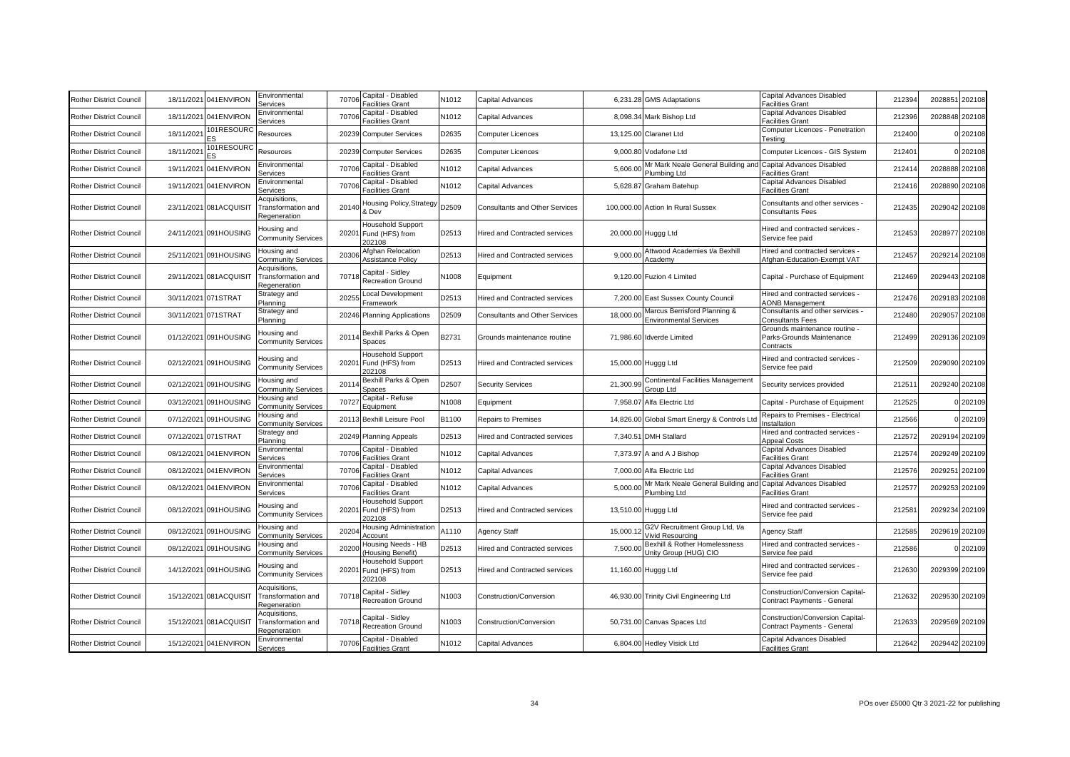| <b>Rother District Council</b> | 18/11/2021 | 041ENVIRON             | Environmental<br>Services                           | 70706 | Capital - Disabled<br>acilities Grant                       | N1012 | Capital Advances                      | 6.231.28  | <b>GMS Adaptations</b>                                        | Capital Advances Disabled<br>acilities Grant                          | 212394 | 202885         | 202108         |
|--------------------------------|------------|------------------------|-----------------------------------------------------|-------|-------------------------------------------------------------|-------|---------------------------------------|-----------|---------------------------------------------------------------|-----------------------------------------------------------------------|--------|----------------|----------------|
| <b>Rother District Council</b> | 18/11/2021 | 041ENVIRON             | Environmental<br>Services                           | 70706 | Capital - Disabled<br>Facilities Grant                      | N1012 | Capital Advances                      |           | 8,098.34 Mark Bishop Ltd                                      | Capital Advances Disabled<br>Facilities Grant                         | 212396 | 2028848 202108 |                |
| <b>Rother District Council</b> | 18/11/202  | 01RESOURC              | Resources                                           | 20239 | <b>Computer Services</b>                                    | D2635 | Computer Licences                     | 13,125.00 | <b>Claranet Ltd</b>                                           | Computer Licences - Penetration<br><b>Testina</b>                     | 212400 |                | 202108         |
| <b>Rother District Council</b> | 18/11/202  | 101RESOURC             | Resources                                           |       | 20239 Computer Services                                     | D2635 | Computer Licences                     |           | 9,000.80 Vodafone Ltd                                         | Computer Licences - GIS System                                        | 212401 |                | 202108         |
| <b>Rother District Council</b> | 19/11/202  | 041ENVIRON             | Environmental<br>Services                           | 70706 | Capital - Disabled<br>Facilities Grant                      | N1012 | Capital Advances                      | 5,606.0   | Mr Mark Neale General Building and<br>Plumbing Ltd            | Capital Advances Disabled<br>Facilities Grant                         | 21241  | 2028888        | 202108         |
| <b>Rother District Council</b> |            | 19/11/2021 041ENVIRON  | Environmental<br>Services                           | 7070  | Capital - Disabled<br>Facilities Grant                      | N1012 | Capital Advances                      | 5,628.87  | Graham Batehup                                                | Capital Advances Disabled<br>Facilities Grant                         | 212416 | 2028890        | 202108         |
| <b>Rother District Council</b> |            | 23/11/2021 081ACQUISIT | Acquisitions,<br>Transformation and<br>Regeneration | 20140 | Housing Policy,Strategy<br>& Dev                            | D2509 | <b>Consultants and Other Services</b> |           | 100,000,00 Action In Rural Sussex                             | Consultants and other services -<br><b>Consultants Fees</b>           | 212435 |                | 2029042 202108 |
| <b>Rother District Council</b> |            | 24/11/2021 091HOUSING  | Housing and<br><b>Community Services</b>            |       | Household Support<br>20201 Fund (HFS) from<br>202108        | D2513 | <b>Hired and Contracted services</b>  |           | 20,000.00 Huggg Ltd                                           | Hired and contracted services -<br>Service fee paid                   | 212453 | 2028977        | 202108         |
| <b>Rother District Council</b> | 25/11/2021 | 091HOUSING             | Housing and<br><b>Community Services</b>            | 2030  | <b>Afghan Relocation</b><br>Assistance Policy               | D2513 | Hired and Contracted services         | 9,000.0   | Attwood Academies t/a Bexhill<br>Academy                      | lired and contracted services -<br>Afghan-Education-Exempt VAT        | 212457 | 2029214        | 202108         |
| <b>Rother District Council</b> |            | 29/11/2021 081ACQUISIT | Acquisitions,<br>Transformation and<br>Regeneration | 70718 | Capital - Sidley<br>Recreation Ground                       | N1008 | Equipment                             |           | 9.120.00 Fuzion 4 Limited                                     | Capital - Purchase of Equipment                                       | 212469 | 2029443        | 202108         |
| <b>Rother District Council</b> |            | 30/11/2021 071STRAT    | Strategy and<br>Planning                            | 20255 | ocal Development<br>Framework                               | D2513 | lired and Contracted services         | 7,200.00  | East Sussex County Council                                    | -lired and contracted services<br><b>AONB Management</b>              | 212476 | 2029183        | 202108         |
| <b>Rother District Council</b> |            | 30/11/2021 071STRAT    | Strategy and<br>Planning                            |       | 20246 Planning Applications                                 | D2509 | <b>Consultants and Other Services</b> | 18,000.0  | Marcus Berrisford Planning &<br><b>Environmental Services</b> | Consultants and other services -<br>Consultants Fees                  | 212480 | 2029057        | 202108         |
| <b>Rother District Council</b> |            | 01/12/2021 091HOUSING  | Housing and<br><b>Community Services</b>            | 2011  | Bexhill Parks & Open<br>Spaces                              | 32731 | Grounds maintenance routine           |           | 71,986.60 Idverde Limited                                     | Grounds maintenance routine<br>Parks-Grounds Maintenance<br>Contracts | 212499 |                | 2029136 202109 |
| <b>Rother District Council</b> |            | 02/12/2021 091HOUSING  | Housing and<br><b>Community Services</b>            |       | Household Support<br>20201 Fund (HFS) from<br>202108        | D2513 | <b>Hired and Contracted services</b>  |           | 15,000.00 Huggg Ltd                                           | Hired and contracted services -<br>Service fee paid                   | 212509 |                | 2029090 202109 |
| Rother District Council        |            | 02/12/2021 091HOUSING  | Housing and<br>Community Services                   | 20114 | Bexhill Parks & Open<br>Spaces                              | D2507 | <b>Security Services</b>              | 21,300.99 | Continental Facilities Management<br>Group Ltd                | Security services provided                                            | 21251  |                | 2029240 202108 |
| <b>Rother District Council</b> | 03/12/2021 | 091HOUSING             | Housing and<br><b>Community Services</b>            | 70727 | Capital - Refuse<br>Equipment                               | N1008 | Equipment                             | 7,958.0   | Alfa Electric Ltd                                             | Capital - Purchase of Equipment                                       | 212525 |                | 202109         |
| <b>Rother District Council</b> |            | 07/12/2021 091HOUSING  | Housing and<br><b>Community Services</b>            |       | 20113 Bexhill Leisure Pool                                  | B1100 | <b>Repairs to Premises</b>            | 14,826.00 | Global Smart Energy & Controls Ltd                            | Repairs to Premises - Electrical<br>nstallation                       | 212566 |                | 202109         |
| <b>Rother District Council</b> | 07/12/2021 | 071STRAT               | Strategy and<br>Planning                            |       | 20249 Planning Appeals                                      | D2513 | <b>Hired and Contracted services</b>  | 7,340.51  | <b>DMH Stallard</b>                                           | lired and contracted services -<br>Appeal Costs                       | 21257  | 2029194        | 202109         |
| <b>Rother District Council</b> | 08/12/2021 | 041ENVIRON             | Environmental<br>Services                           | 70706 | Capital - Disabled<br>Facilities Grant                      | N1012 | Capital Advances                      | 7,373.97  | A and A J Bishop                                              | Capital Advances Disabled<br>acilities Grant                          | 21257  | 2029249        | 202109         |
| <b>Rother District Council</b> | 08/12/2021 | 041ENVIRON             | Environmental<br>Services                           | 70706 | Capital - Disabled<br>Facilities Grant                      | N1012 | Capital Advances                      | 7,000.00  | Alfa Electric Ltd                                             | Capital Advances Disabled<br>Facilities Grant                         | 21257  | 202925         | 202109         |
| <b>Rother District Council</b> | 08/12/2021 | 041ENVIRON             | Environmental<br>Services                           | 70706 | Capital - Disabled<br>Facilities Grant                      | N1012 | Capital Advances                      | 5,000.0   | Mr Mark Neale General Building and<br>Plumbing Ltd            | Capital Advances Disabled<br>Facilities Grant                         | 21257  | 2029253        | 202109         |
| <b>Rother District Council</b> |            | 08/12/2021 091HOUSING  | Housing and<br><b>Community Services</b>            |       | <b>Household Support</b><br>20201 Fund (HFS) from<br>202108 | D2513 | <b>Hired and Contracted services</b>  |           | 13,510.00 Huggg Ltd                                           | Hired and contracted services -<br>Service fee paid                   | 212581 | 2029234        | 202109         |
| <b>Rother District Council</b> |            | 08/12/2021 091HOUSING  | Housing and<br><b>Community Services</b>            | 2020  | Housing Administration<br>Account                           | 41110 | Agency Staff                          | 15,000.   | G2V Recruitment Group Ltd, t/a<br>Vivid Resourcing            | Agency Staff                                                          | 212585 |                | 2029619 202109 |
| <b>Rother District Council</b> | 08/12/2021 | 091HOUSING             | lousing and<br><b>Community Services</b>            | 2020  | lousing Needs - HB<br>(Housing Benefit)                     | D2513 | <b>Hired and Contracted services</b>  | 7,500.0   | Bexhill & Rother Homelessness<br>Unity Group (HUG) CIO        | Hired and contracted services -<br>Service fee paid                   | 212586 |                | 202109         |
| <b>Rother District Council</b> |            | 14/12/2021 091HOUSING  | Housing and<br><b>Community Services</b>            | 20201 | <b>Household Support</b><br>Fund (HFS) from<br>202108       | D2513 | Hired and Contracted services         |           | 11,160.00 Huggg Ltd                                           | Hired and contracted services -<br>Service fee paid                   | 212630 |                | 2029399 202109 |
| <b>Rother District Council</b> |            | 15/12/2021 081ACQUISIT | Acquisitions,<br>Transformation and<br>Regeneration | 70718 | Capital - Sidley<br><b>Recreation Ground</b>                | N1003 | Construction/Conversion               |           | 46,930.00 Trinity Civil Engineering Ltd                       | Construction/Conversion Capital-<br>Contract Payments - General       | 212632 |                | 2029530 202109 |
| <b>Rother District Council</b> |            | 15/12/2021 081ACQUISIT | Acquisitions.<br>Transformation and<br>Regeneration | 70718 | Capital - Sidley<br><b>Recreation Ground</b>                | N1003 | Construction/Conversion               |           | 50,731.00 Canvas Spaces Ltd                                   | Construction/Conversion Capital-<br>Contract Payments - General       | 212633 |                | 2029569 202109 |
| Rother District Council        |            | 15/12/2021 041 ENVIRON | Environmental<br>Services                           | 70706 | Capital - Disabled<br>Facilities Grant                      | N1012 | Capital Advances                      |           | 6,804.00 Hedley Visick Ltd                                    | Capital Advances Disabled<br>Facilities Grant                         | 212642 |                | 2029442 202109 |